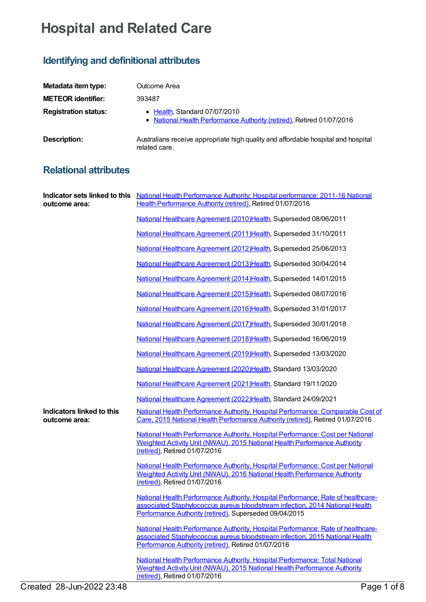## **Hospital and Related Care**

## **Identifying and definitional attributes**

| Metadata item type:         | Outcome Area                                                                                           |
|-----------------------------|--------------------------------------------------------------------------------------------------------|
| <b>METEOR identifier:</b>   | 393487                                                                                                 |
| <b>Registration status:</b> | • Health, Standard 07/07/2010<br>• National Health Performance Authority (retired), Retired 01/07/2016 |
| <b>Description:</b>         | Australians receive appropriate high quality and affordable hospital and hospital<br>related care.     |

## **Relational attributes**

| outcome area:                              | Indicator sets linked to this National Health Performance Authority: Hospital performance: 2011-16 National<br>Health Performance Authority (retired), Retired 01/07/2016                                                  |
|--------------------------------------------|----------------------------------------------------------------------------------------------------------------------------------------------------------------------------------------------------------------------------|
|                                            | National Healthcare Agreement (2010)Health, Superseded 08/06/2011                                                                                                                                                          |
|                                            | National Healthcare Agreement (2011) Health, Superseded 31/10/2011                                                                                                                                                         |
|                                            | National Healthcare Agreement (2012)Health, Superseded 25/06/2013                                                                                                                                                          |
|                                            | National Healthcare Agreement (2013)Health, Superseded 30/04/2014                                                                                                                                                          |
|                                            | National Healthcare Agreement (2014) Health, Superseded 14/01/2015                                                                                                                                                         |
|                                            | National Healthcare Agreement (2015)Health, Superseded 08/07/2016                                                                                                                                                          |
|                                            | National Healthcare Agreement (2016)Health, Superseded 31/01/2017                                                                                                                                                          |
|                                            | National Healthcare Agreement (2017) Health, Superseded 30/01/2018                                                                                                                                                         |
|                                            | National Healthcare Agreement (2018)Health, Superseded 16/06/2019                                                                                                                                                          |
|                                            | National Healthcare Agreement (2019)Health, Superseded 13/03/2020                                                                                                                                                          |
|                                            | National Healthcare Agreement (2020)Health, Standard 13/03/2020                                                                                                                                                            |
|                                            | National Healthcare Agreement (2021) Health, Standard 19/11/2020                                                                                                                                                           |
|                                            | National Healthcare Agreement (2022)Health, Standard 24/09/2021                                                                                                                                                            |
| Indicators linked to this<br>outcome area: | National Health Performance Authority, Hospital Performance: Comparable Cost of<br>Care, 2015 National Health Performance Authority (retired), Retired 01/07/2016                                                          |
|                                            | National Health Performance Authority, Hospital Performance: Cost per National<br>Weighted Activity Unit (NWAU), 2015 National Health Performance Authority<br>(retired), Retired 01/07/2016                               |
|                                            | National Health Performance Authority, Hospital Performance: Cost per National<br>Weighted Activity Unit (NWAU), 2016 National Health Performance Authority<br>(retired), Retired 01/07/2016                               |
|                                            | National Health Performance Authority, Hospital Performance: Rate of healthcare-<br>associated Staphylococcus aureus bloodstream infection, 2014 National Health<br>Performance Authority (retired), Superseded 09/04/2015 |
|                                            | National Health Performance Authority, Hospital Performance: Rate of healthcare-<br>associated Staphylococcus aureus bloodstream infection, 2015 National Health<br>Performance Authority (retired), Retired 01/07/2016    |
|                                            | National Health Performance Authority, Hospital Performance: Total National<br>Weighted Activity Unit (NWAU), 2015 National Health Performance Authority<br>(retired), Retired 01/07/2016                                  |
| Created 28-Jun-2022 23:48                  | Page 1 of 8                                                                                                                                                                                                                |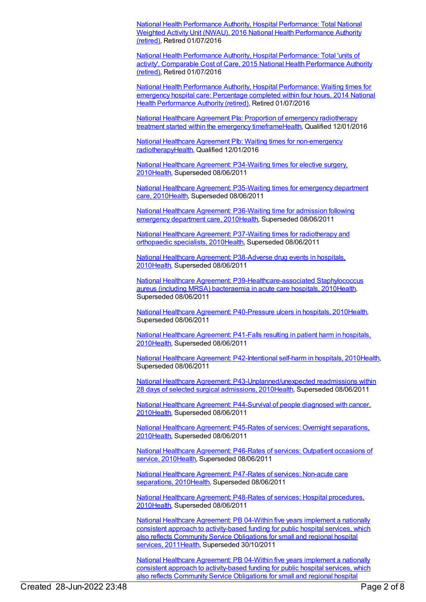National Health Performance Authority, Hospital [Performance:](https://meteor.aihw.gov.au/content/635556) Total National Weighted Activity Unit (NWAU), 2016 National Health [Performance](https://meteor.aihw.gov.au/RegistrationAuthority/8) Authority (retired), Retired 01/07/2016

National Health Performance Authority, Hospital [Performance:](https://meteor.aihw.gov.au/content/602645) Total 'units of activity', Comparable Cost of Care, 2015 National Health [Performance](https://meteor.aihw.gov.au/RegistrationAuthority/8) Authority (retired), Retired 01/07/2016

National Health Performance Authority, Hospital [Performance:](https://meteor.aihw.gov.au/content/558277) Waiting times for emergency hospital care: [Percentage](https://meteor.aihw.gov.au/RegistrationAuthority/8) completed within four hours, 2014 National Health Performance Authority (retired), Retired 01/07/2016

National Healthcare Agreement PIa: Proportion of emergency radiotherapy treatment started within the emergency [timeframeHealth,](https://meteor.aihw.gov.au/content/595028) Qualified 12/01/2016

National Healthcare Agreement PIb: Waiting times for non-emergency [radiotherapyHealth,](https://meteor.aihw.gov.au/content/594454) Qualified 12/01/2016

National Healthcare Agreement: [P34-Waiting](https://meteor.aihw.gov.au/content/395010) times for elective surgery, 201[0Health](https://meteor.aihw.gov.au/RegistrationAuthority/12), Superseded 08/06/2011

National Healthcare Agreement: [P35-Waiting](https://meteor.aihw.gov.au/content/395017) times for emergency department care, 201[0Health](https://meteor.aihw.gov.au/RegistrationAuthority/12), Superseded 08/06/2011

National Healthcare Agreement: [P36-Waiting](https://meteor.aihw.gov.au/content/395019) time for admission following emergency department care, 201[0Health,](https://meteor.aihw.gov.au/RegistrationAuthority/12) Superseded 08/06/2011

National Healthcare Agreement: P37-Waiting times for [radiotherapy](https://meteor.aihw.gov.au/content/395064) and orthopaedic specialists, 201[0Health](https://meteor.aihw.gov.au/RegistrationAuthority/12), Superseded 08/06/2011

National Healthcare Agreement: [P38-Adverse](https://meteor.aihw.gov.au/content/395066) drug events in hospitals, 201[0Health](https://meteor.aihw.gov.au/RegistrationAuthority/12), Superseded 08/06/2011

National Healthcare Agreement: [P39-Healthcare-associated](https://meteor.aihw.gov.au/content/395068) Staphylococcus aureus (including MRSA) bacteraemia in acute care hospitals, 201[0Health](https://meteor.aihw.gov.au/RegistrationAuthority/12), Superseded 08/06/2011

National Healthcare Agreement: [P40-Pressure](https://meteor.aihw.gov.au/content/395073) ulcers in hospitals, 2010[Health](https://meteor.aihw.gov.au/RegistrationAuthority/12), Superseded 08/06/2011

National Healthcare [Agreement:](https://meteor.aihw.gov.au/content/395076) P41-Falls resulting in patient harm in hospitals, 201[0Health](https://meteor.aihw.gov.au/RegistrationAuthority/12), Superseded 08/06/2011

National Healthcare Agreement: [P42-Intentional](https://meteor.aihw.gov.au/content/395079) self-harm in hospitals, 201[0Health](https://meteor.aihw.gov.au/RegistrationAuthority/12), Superseded 08/06/2011

National Healthcare Agreement: [P43-Unplanned/unexpected](https://meteor.aihw.gov.au/content/395081) readmissions within 28 days of selected surgical admissions, 201[0Health](https://meteor.aihw.gov.au/RegistrationAuthority/12), Superseded 08/06/2011

National Healthcare Agreement: [P44-Survival](https://meteor.aihw.gov.au/content/395085) of people diagnosed with cancer, 201[0Health](https://meteor.aihw.gov.au/RegistrationAuthority/12), Superseded 08/06/2011

National Healthcare Agreement: P45-Rates of services: Overnight [separations,](https://meteor.aihw.gov.au/content/395088) 201[0Health](https://meteor.aihw.gov.au/RegistrationAuthority/12), Superseded 08/06/2011

National Healthcare [Agreement:](https://meteor.aihw.gov.au/content/395091) P46-Rates of services: Outpatient occasions of service, 2010[Health,](https://meteor.aihw.gov.au/RegistrationAuthority/12) Superseded 08/06/2011

National Healthcare [Agreement:](https://meteor.aihw.gov.au/content/395093) P47-Rates of services: Non-acute care separations, 201[0Health](https://meteor.aihw.gov.au/RegistrationAuthority/12), Superseded 08/06/2011

National Healthcare [Agreement:](https://meteor.aihw.gov.au/content/395095) P48-Rates of services: Hospital procedures, 201[0Health](https://meteor.aihw.gov.au/RegistrationAuthority/12), Superseded 08/06/2011

National Healthcare Agreement: PB 04-Within five years implement a nationally consistent approach to [activity-based](https://meteor.aihw.gov.au/content/428996) funding for public hospital services, which also reflects Community Service Obligations for small and regional hospital services, 2011 Health, Superseded 30/10/2011

National Healthcare Agreement: PB 04-Within five years implement a nationally consistent approach to [activity-based](https://meteor.aihw.gov.au/content/435830) funding for public hospital services, which also reflects Community Service Obligations for small and regional hospital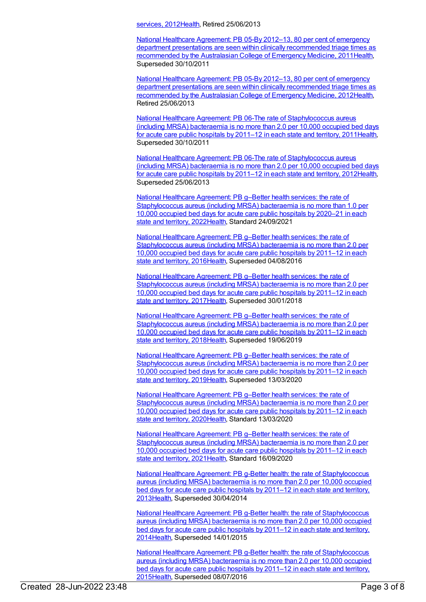services, 201[2Health](https://meteor.aihw.gov.au/RegistrationAuthority/12), Retired 25/06/2013

National Healthcare Agreement: PB 05-By 2012–13, 80 per cent of emergency department presentations are seen within clinically [recommended](https://meteor.aihw.gov.au/content/428999) triage times as recommended by the Australasian College of Emergency Medicine, 201[1Health](https://meteor.aihw.gov.au/RegistrationAuthority/12), Superseded 30/10/2011

National Healthcare Agreement: PB 05-By 2012–13, 80 per cent of emergency department presentations are seen within clinically [recommended](https://meteor.aihw.gov.au/content/435832) triage times as recommended by the Australasian College of Emergency Medicine, 201[2Health](https://meteor.aihw.gov.au/RegistrationAuthority/12), Retired 25/06/2013

National Healthcare Agreement: PB 06-The rate of [Staphylococcus](https://meteor.aihw.gov.au/content/429156) aureus (including MRSA) bacteraemia is no more than 2.0 per 10,000 occupied bed days for acute care public hospitals by 2011–12 in each state and territory, 201[1Health](https://meteor.aihw.gov.au/RegistrationAuthority/12), Superseded 30/10/2011

National Healthcare Agreement: PB 06-The rate of [Staphylococcus](https://meteor.aihw.gov.au/content/443693) aureus (including MRSA) bacteraemia is no more than 2.0 per 10,000 occupied bed days for acute care public hospitals by 2011–12 in each state and territory, 201[2Health](https://meteor.aihw.gov.au/RegistrationAuthority/12), Superseded 25/06/2013

National Healthcare Agreement: PB g–Better health services: the rate of [Staphylococcus](https://meteor.aihw.gov.au/content/740896) aureus (including MRSA) bacteraemia is no more than 1.0 per 10,000 occupied bed days for acute care public hospitals by 2020–21 in each state and territory, 2022[Health,](https://meteor.aihw.gov.au/RegistrationAuthority/12) Standard 24/09/2021

National Healthcare Agreement: PB g–Better health services: the rate of [Staphylococcus](https://meteor.aihw.gov.au/content/598849) aureus (including MRSA) bacteraemia is no more than 2.0 per 10,000 occupied bed days for acute care public hospitals by 2011–12 in each state and territory, 2016[Health,](https://meteor.aihw.gov.au/RegistrationAuthority/12) Superseded 04/08/2016

National Healthcare Agreement: PB g–Better health services: the rate of [Staphylococcus](https://meteor.aihw.gov.au/content/629982) aureus (including MRSA) bacteraemia is no more than 2.0 per 10,000 occupied bed days for acute care public hospitals by 2011–12 in each state and territory, 2017[Health,](https://meteor.aihw.gov.au/RegistrationAuthority/12) Superseded 30/01/2018

National Healthcare Agreement: PB g–Better health services: the rate of [Staphylococcus](https://meteor.aihw.gov.au/content/658536) aureus (including MRSA) bacteraemia is no more than 2.0 per 10,000 occupied bed days for acute care public hospitals by 2011–12 in each state and territory, 2018[Health,](https://meteor.aihw.gov.au/RegistrationAuthority/12) Superseded 19/06/2019

National Healthcare Agreement: PB g–Better health services: the rate of [Staphylococcus](https://meteor.aihw.gov.au/content/698940) aureus (including MRSA) bacteraemia is no more than 2.0 per 10,000 occupied bed days for acute care public hospitals by 2011–12 in each state and territory, 2019[Health,](https://meteor.aihw.gov.au/RegistrationAuthority/12) Superseded 13/03/2020

National Healthcare Agreement: PB g–Better health services: the rate of [Staphylococcus](https://meteor.aihw.gov.au/content/716267) aureus (including MRSA) bacteraemia is no more than 2.0 per 10,000 occupied bed days for acute care public hospitals by 2011–12 in each state and territory, 2020[Health,](https://meteor.aihw.gov.au/RegistrationAuthority/12) Standard 13/03/2020

National Healthcare Agreement: PB g–Better health services: the rate of [Staphylococcus](https://meteor.aihw.gov.au/content/725830) aureus (including MRSA) bacteraemia is no more than 2.0 per 10,000 occupied bed days for acute care public hospitals by 2011–12 in each state and territory, 2021[Health,](https://meteor.aihw.gov.au/RegistrationAuthority/12) Standard 16/09/2020

National Healthcare Agreement: PB g-Better health: the rate of [Staphylococcus](https://meteor.aihw.gov.au/content/498327) aureus (including MRSA) bacteraemia is no more than 2.0 per 10,000 occupied bed days for acute care public hospitals by 2011–12 in each state and territory, 201[3Health](https://meteor.aihw.gov.au/RegistrationAuthority/12), Superseded 30/04/2014

National Healthcare Agreement: PB g-Better health: the rate of [Staphylococcus](https://meteor.aihw.gov.au/content/517690) aureus (including MRSA) bacteraemia is no more than 2.0 per 10,000 occupied bed days for acute care public hospitals by 2011–12 in each state and territory, 201[4Health](https://meteor.aihw.gov.au/RegistrationAuthority/12), Superseded 14/01/2015

National Healthcare Agreement: PB g-Better health: the rate of [Staphylococcus](https://meteor.aihw.gov.au/content/559068) aureus (including MRSA) bacteraemia is no more than 2.0 per 10,000 occupied bed days for acute care public hospitals by 2011–12 in each state and territory, 201[5Health](https://meteor.aihw.gov.au/RegistrationAuthority/12), Superseded 08/07/2016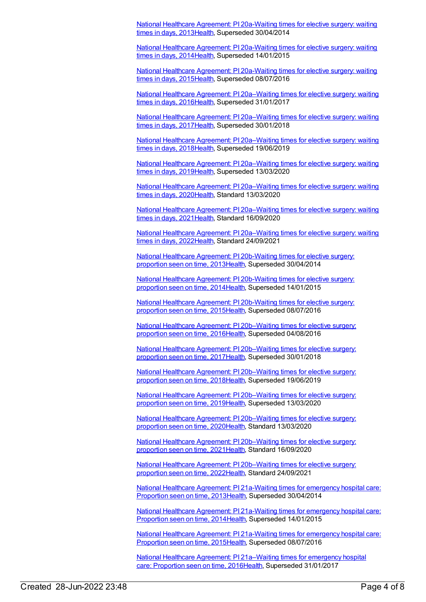National Healthcare Agreement: PI [20a-Waiting](https://meteor.aihw.gov.au/content/497219) times for elective surgery: waiting times in days, 201[3Health](https://meteor.aihw.gov.au/RegistrationAuthority/12), Superseded 30/04/2014

National Healthcare Agreement: PI [20a-Waiting](https://meteor.aihw.gov.au/content/517644) times for elective surgery: waiting times in days, 201[4Health](https://meteor.aihw.gov.au/RegistrationAuthority/12), Superseded 14/01/2015

National Healthcare Agreement: PI [20a-Waiting](https://meteor.aihw.gov.au/content/559030) times for elective surgery: waiting times in days, 201[5Health](https://meteor.aihw.gov.au/RegistrationAuthority/12), Superseded 08/07/2016

National Healthcare Agreement: PI [20a–Waiting](https://meteor.aihw.gov.au/content/598742) times for elective surgery: waiting times in days, 201[6Health](https://meteor.aihw.gov.au/RegistrationAuthority/12), Superseded 31/01/2017

National Healthcare Agreement: PI [20a–Waiting](https://meteor.aihw.gov.au/content/630038) times for elective surgery: waiting times in days, 201[7Health](https://meteor.aihw.gov.au/RegistrationAuthority/12), Superseded 30/01/2018

National Healthcare Agreement: PI [20a–Waiting](https://meteor.aihw.gov.au/content/658495) times for elective surgery: waiting times in days, 201[8Health](https://meteor.aihw.gov.au/RegistrationAuthority/12), Superseded 19/06/2019

National Healthcare Agreement: PI [20a–Waiting](https://meteor.aihw.gov.au/content/698999) times for elective surgery: waiting times in days, 201[9Health](https://meteor.aihw.gov.au/RegistrationAuthority/12), Superseded 13/03/2020

National Healthcare Agreement: PI [20a–Waiting](https://meteor.aihw.gov.au/content/716570) times for elective surgery: waiting times in days, 202[0Health](https://meteor.aihw.gov.au/RegistrationAuthority/12), Standard 13/03/2020

National Healthcare Agreement: PI [20a–Waiting](https://meteor.aihw.gov.au/content/725789) times for elective surgery: waiting times in days, 202[1Health](https://meteor.aihw.gov.au/RegistrationAuthority/12), Standard 16/09/2020

National Healthcare Agreement: PI [20a–Waiting](https://meteor.aihw.gov.au/content/740845) times for elective surgery: waiting times in days, 202[2Health](https://meteor.aihw.gov.au/RegistrationAuthority/12), Standard 24/09/2021

National Healthcare Agreement: PI [20b-Waiting](https://meteor.aihw.gov.au/content/497217) times for elective surgery: proportion seen on time, 2013[Health](https://meteor.aihw.gov.au/RegistrationAuthority/12), Superseded 30/04/2014

National Healthcare Agreement: PI [20b-Waiting](https://meteor.aihw.gov.au/content/517642) times for elective surgery: proportion seen on time, 2014[Health](https://meteor.aihw.gov.au/RegistrationAuthority/12), Superseded 14/01/2015

National Healthcare Agreement: PI [20b-Waiting](https://meteor.aihw.gov.au/content/559028) times for elective surgery: proportion seen on time, 2015[Health](https://meteor.aihw.gov.au/RegistrationAuthority/12), Superseded 08/07/2016

National Healthcare Agreement: PI [20b–Waiting](https://meteor.aihw.gov.au/content/598740) times for elective surgery: proportion seen on time, 2016[Health](https://meteor.aihw.gov.au/RegistrationAuthority/12), Superseded 04/08/2016

National Healthcare Agreement: PI [20b–Waiting](https://meteor.aihw.gov.au/content/630040) times for elective surgery: proportion seen on time, 2017[Health](https://meteor.aihw.gov.au/RegistrationAuthority/12), Superseded 30/01/2018

National Healthcare Agreement: PI [20b–Waiting](https://meteor.aihw.gov.au/content/658493) times for elective surgery: proportion seen on time, 2018[Health](https://meteor.aihw.gov.au/RegistrationAuthority/12), Superseded 19/06/2019

National Healthcare Agreement: PI [20b–Waiting](https://meteor.aihw.gov.au/content/698900) times for elective surgery: proportion seen on time, 2019[Health](https://meteor.aihw.gov.au/RegistrationAuthority/12), Superseded 13/03/2020

National Healthcare Agreement: PI [20b–Waiting](https://meteor.aihw.gov.au/content/716575) times for elective surgery: proportion seen on time, 2020[Health](https://meteor.aihw.gov.au/RegistrationAuthority/12), Standard 13/03/2020

National Healthcare Agreement: PI 20b-Waiting times for elective surgery: proportion seen on time, 2021[Health](https://meteor.aihw.gov.au/RegistrationAuthority/12), Standard 16/09/2020

National Healthcare Agreement: PI [20b–Waiting](https://meteor.aihw.gov.au/content/740843) times for elective surgery: proportion seen on time, 2022[Health](https://meteor.aihw.gov.au/RegistrationAuthority/12), Standard 24/09/2021

National Healthcare Agreement: PI [21a-Waiting](https://meteor.aihw.gov.au/content/497186) times for emergency hospital care: Proportion seen on time, 201[3Health](https://meteor.aihw.gov.au/RegistrationAuthority/12), Superseded 30/04/2014

National Healthcare Agreement: PI [21a-Waiting](https://meteor.aihw.gov.au/content/517640) times for emergency hospital care: Proportion seen on time, 201[4Health](https://meteor.aihw.gov.au/RegistrationAuthority/12), Superseded 14/01/2015

National Healthcare Agreement: PI [21a-Waiting](https://meteor.aihw.gov.au/content/559026) times for emergency hospital care: Proportion seen on time, 201[5Health](https://meteor.aihw.gov.au/RegistrationAuthority/12), Superseded 08/07/2016

National Healthcare Agreement: PI [21a–Waiting](https://meteor.aihw.gov.au/content/598738) times for emergency hospital care: Proportion seen on time, 201[6Health,](https://meteor.aihw.gov.au/RegistrationAuthority/12) Superseded 31/01/2017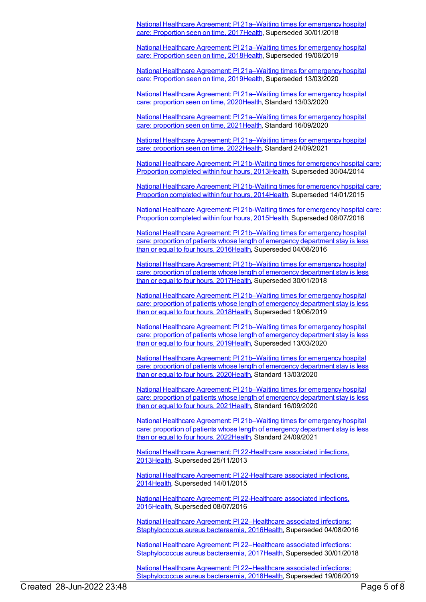National Healthcare Agreement: PI [21a–Waiting](https://meteor.aihw.gov.au/content/630043) times for emergency hospital care: Proportion seen on time, 201[7Health,](https://meteor.aihw.gov.au/RegistrationAuthority/12) Superseded 30/01/2018

National Healthcare Agreement: PI [21a–Waiting](https://meteor.aihw.gov.au/content/658491) times for emergency hospital care: Proportion seen on time, 201[8Health,](https://meteor.aihw.gov.au/RegistrationAuthority/12) Superseded 19/06/2019

National Healthcare Agreement: PI [21a–Waiting](https://meteor.aihw.gov.au/content/698898) times for emergency hospital care: Proportion seen on time, 201[9Health,](https://meteor.aihw.gov.au/RegistrationAuthority/12) Superseded 13/03/2020

National Healthcare Agreement: PI [21a–Waiting](https://meteor.aihw.gov.au/content/716686) times for emergency hospital care: proportion seen on time, 202[0Health](https://meteor.aihw.gov.au/RegistrationAuthority/12), Standard 13/03/2020

National Healthcare Agreement: PI [21a–Waiting](https://meteor.aihw.gov.au/content/725785) times for emergency hospital care: proportion seen on time, 202[1Health](https://meteor.aihw.gov.au/RegistrationAuthority/12), Standard 16/09/2020

National Healthcare Agreement: PI [21a–Waiting](https://meteor.aihw.gov.au/content/740840) times for emergency hospital care: proportion seen on time, 202[2Health](https://meteor.aihw.gov.au/RegistrationAuthority/12), Standard 24/09/2021

National Healthcare Agreement: PI [21b-Waiting](https://meteor.aihw.gov.au/content/497210) times for emergency hospital care: Proportion completed within four hours, 201[3Health](https://meteor.aihw.gov.au/RegistrationAuthority/12), Superseded 30/04/2014

National Healthcare Agreement: PI [21b-Waiting](https://meteor.aihw.gov.au/content/517638) times for emergency hospital care: Proportion completed within four hours, 201[4Health](https://meteor.aihw.gov.au/RegistrationAuthority/12), Superseded 14/01/2015

National Healthcare Agreement: PI [21b-Waiting](https://meteor.aihw.gov.au/content/559024) times for emergency hospital care: Proportion completed within four hours, 201[5Health](https://meteor.aihw.gov.au/RegistrationAuthority/12), Superseded 08/07/2016

National Healthcare Agreement: PI [21b–Waiting](https://meteor.aihw.gov.au/content/598736) times for emergency hospital care: proportion of patients whose length of emergency department stay is less than or equal to four hours, 201[6Health](https://meteor.aihw.gov.au/RegistrationAuthority/12), Superseded 04/08/2016

National Healthcare Agreement: PI [21b–Waiting](https://meteor.aihw.gov.au/content/630045) times for emergency hospital care: proportion of patients whose length of emergency department stay is less than or equal to four hours, 201[7Health](https://meteor.aihw.gov.au/RegistrationAuthority/12), Superseded 30/01/2018

National Healthcare Agreement: PI [21b–Waiting](https://meteor.aihw.gov.au/content/658489) times for emergency hospital care: proportion of patients whose length of emergency department stay is less than or equal to four hours, 201[8Health](https://meteor.aihw.gov.au/RegistrationAuthority/12), Superseded 19/06/2019

National Healthcare Agreement: PI [21b–Waiting](https://meteor.aihw.gov.au/content/698895) times for emergency hospital care: proportion of patients whose length of emergency department stay is less than or equal to four hours, 201[9Health](https://meteor.aihw.gov.au/RegistrationAuthority/12), Superseded 13/03/2020

National Healthcare Agreement: PI [21b–Waiting](https://meteor.aihw.gov.au/content/716695) times for emergency hospital care: proportion of patients whose length of emergency department stay is less than or equal to four hours, 202[0Health](https://meteor.aihw.gov.au/RegistrationAuthority/12), Standard 13/03/2020

National Healthcare Agreement: PI [21b–Waiting](https://meteor.aihw.gov.au/content/725783) times for emergency hospital care: proportion of patients whose length of emergency department stay is less than or equal to four hours, 202[1Health](https://meteor.aihw.gov.au/RegistrationAuthority/12), Standard 16/09/2020

National Healthcare Agreement: PI [21b–Waiting](https://meteor.aihw.gov.au/content/740838) times for emergency hospital care: proportion of patients whose length of emergency department stay is less than or equal to four hours, 202[2Health](https://meteor.aihw.gov.au/RegistrationAuthority/12), Standard 24/09/2021

National Healthcare Agreement: PI [22-Healthcare](https://meteor.aihw.gov.au/content/497153) associated infections, 201[3Health](https://meteor.aihw.gov.au/RegistrationAuthority/12), Superseded 25/11/2013

National Healthcare Agreement: PI [22-Healthcare](https://meteor.aihw.gov.au/content/517636) associated infections, 201[4Health](https://meteor.aihw.gov.au/RegistrationAuthority/12), Superseded 14/01/2015

National Healthcare Agreement: PI [22-Healthcare](https://meteor.aihw.gov.au/content/559022) associated infections, 201[5Health](https://meteor.aihw.gov.au/RegistrationAuthority/12), Superseded 08/07/2016

National Healthcare Agreement: PI [22–Healthcare](https://meteor.aihw.gov.au/content/598734) associated infections: Staphylococcus aureus bacteraemia, 201[6Health](https://meteor.aihw.gov.au/RegistrationAuthority/12), Superseded 04/08/2016

National Healthcare Agreement: PI [22–Healthcare](https://meteor.aihw.gov.au/content/630047) associated infections: Staphylococcus aureus bacteraemia, 201[7Health](https://meteor.aihw.gov.au/RegistrationAuthority/12), Superseded 30/01/2018

National Healthcare Agreement: PI [22–Healthcare](https://meteor.aihw.gov.au/content/658487) associated infections: Staphylococcus aureus bacteraemia, 201[8Health](https://meteor.aihw.gov.au/RegistrationAuthority/12), Superseded 19/06/2019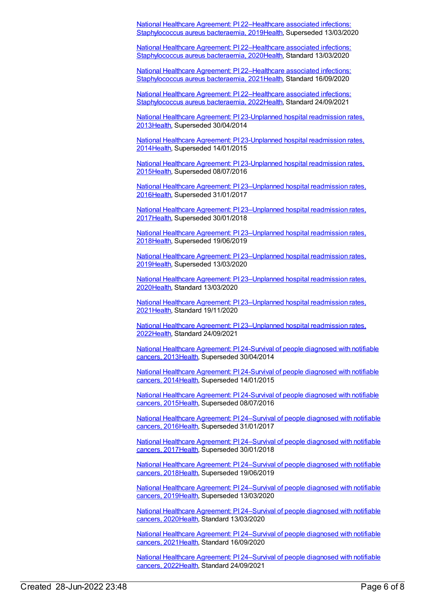National Healthcare Agreement: PI [22–Healthcare](https://meteor.aihw.gov.au/content/698892) associated infections: Staphylococcus aureus bacteraemia, 201[9Health](https://meteor.aihw.gov.au/RegistrationAuthority/12), Superseded 13/03/2020

National Healthcare Agreement: PI [22–Healthcare](https://meteor.aihw.gov.au/content/716702) associated infections: Staphylococcus aureus bacteraemia, 202[0Health](https://meteor.aihw.gov.au/RegistrationAuthority/12), Standard 13/03/2020

National Healthcare Agreement: PI [22–Healthcare](https://meteor.aihw.gov.au/content/725781) associated infections: Staphylococcus aureus bacteraemia, 202[1Health](https://meteor.aihw.gov.au/RegistrationAuthority/12), Standard 16/09/2020

National Healthcare Agreement: PI [22–Healthcare](https://meteor.aihw.gov.au/content/740834) associated infections: Staphylococcus aureus bacteraemia, 202[2Health](https://meteor.aihw.gov.au/RegistrationAuthority/12), Standard 24/09/2021

National Healthcare Agreement: PI [23-Unplanned](https://meteor.aihw.gov.au/content/497129) hospital readmission rates, 201[3Health](https://meteor.aihw.gov.au/RegistrationAuthority/12), Superseded 30/04/2014

National Healthcare Agreement: PI [23-Unplanned](https://meteor.aihw.gov.au/content/517634) hospital readmission rates, 201[4Health](https://meteor.aihw.gov.au/RegistrationAuthority/12), Superseded 14/01/2015

National Healthcare Agreement: PI [23-Unplanned](https://meteor.aihw.gov.au/content/559020) hospital readmission rates, 201[5Health](https://meteor.aihw.gov.au/RegistrationAuthority/12), Superseded 08/07/2016

National Healthcare Agreement: PI [23–Unplanned](https://meteor.aihw.gov.au/content/598732) hospital readmission rates, 201[6Health](https://meteor.aihw.gov.au/RegistrationAuthority/12), Superseded 31/01/2017

National Healthcare Agreement: PI [23–Unplanned](https://meteor.aihw.gov.au/content/630049) hospital readmission rates, 201[7Health](https://meteor.aihw.gov.au/RegistrationAuthority/12), Superseded 30/01/2018

National Healthcare Agreement: PI [23–Unplanned](https://meteor.aihw.gov.au/content/658485) hospital readmission rates, 201[8Health](https://meteor.aihw.gov.au/RegistrationAuthority/12), Superseded 19/06/2019

National Healthcare Agreement: PI [23–Unplanned](https://meteor.aihw.gov.au/content/698890) hospital readmission rates, 201[9Health](https://meteor.aihw.gov.au/RegistrationAuthority/12), Superseded 13/03/2020

National Healthcare Agreement: PI [23–Unplanned](https://meteor.aihw.gov.au/content/716786) hospital readmission rates, 202[0Health](https://meteor.aihw.gov.au/RegistrationAuthority/12), Standard 13/03/2020

National Healthcare Agreement: PI [23–Unplanned](https://meteor.aihw.gov.au/content/725779) hospital readmission rates, 202[1Health](https://meteor.aihw.gov.au/RegistrationAuthority/12), Standard 19/11/2020

National Healthcare Agreement: PI [23–Unplanned](https://meteor.aihw.gov.au/content/742756) hospital readmission rates, 202[2Health](https://meteor.aihw.gov.au/RegistrationAuthority/12), Standard 24/09/2021

National Healthcare [Agreement:](https://meteor.aihw.gov.au/content/497121) PI 24-Survival of people diagnosed with notifiable cancers, 201[3Health,](https://meteor.aihw.gov.au/RegistrationAuthority/12) Superseded 30/04/2014

National Healthcare [Agreement:](https://meteor.aihw.gov.au/content/517632) PI 24-Survival of people diagnosed with notifiable cancers, 201[4Health,](https://meteor.aihw.gov.au/RegistrationAuthority/12) Superseded 14/01/2015

National Healthcare [Agreement:](https://meteor.aihw.gov.au/content/559018) PI 24-Survival of people diagnosed with notifiable cancers, 201[5Health,](https://meteor.aihw.gov.au/RegistrationAuthority/12) Superseded 08/07/2016

National Healthcare Agreement: PI [24–Survival](https://meteor.aihw.gov.au/content/598730) of people diagnosed with notifiable cancers, 201[6Health,](https://meteor.aihw.gov.au/RegistrationAuthority/12) Superseded 31/01/2017

National Healthcare Agreement: PI [24–Survival](https://meteor.aihw.gov.au/content/630051) of people diagnosed with notifiable cancers, 201[7Health,](https://meteor.aihw.gov.au/RegistrationAuthority/12) Superseded 30/01/2018

National Healthcare Agreement: PI [24–Survival](https://meteor.aihw.gov.au/content/658483) of people diagnosed with notifiable cancers, 201[8Health,](https://meteor.aihw.gov.au/RegistrationAuthority/12) Superseded 19/06/2019

National Healthcare Agreement: PI [24–Survival](https://meteor.aihw.gov.au/content/698888) of people diagnosed with notifiable cancers, 201[9Health,](https://meteor.aihw.gov.au/RegistrationAuthority/12) Superseded 13/03/2020

National Healthcare Agreement: PI [24–Survival](https://meteor.aihw.gov.au/content/716829) of people diagnosed with notifiable cancers, 202[0Health,](https://meteor.aihw.gov.au/RegistrationAuthority/12) Standard 13/03/2020

National Healthcare Agreement: PI [24–Survival](https://meteor.aihw.gov.au/content/725775) of people diagnosed with notifiable cancers, 202[1Health,](https://meteor.aihw.gov.au/RegistrationAuthority/12) Standard 16/09/2020

National Healthcare Agreement: PI [24–Survival](https://meteor.aihw.gov.au/content/740830) of people diagnosed with notifiable cancers, 202[2Health,](https://meteor.aihw.gov.au/RegistrationAuthority/12) Standard 24/09/2021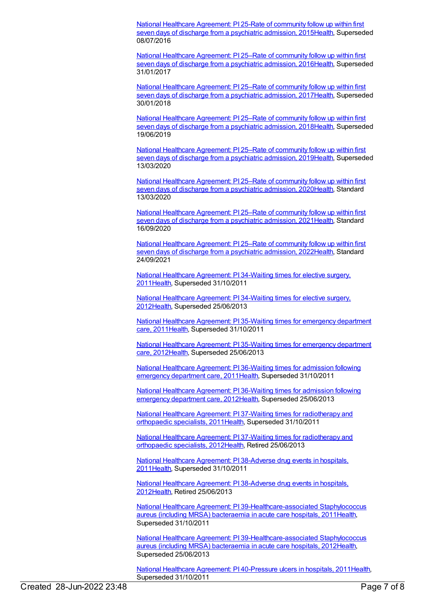National Healthcare [Agreement:](https://meteor.aihw.gov.au/content/559016) PI 25-Rate of community follow up within first seven days of discharge from a psychiatric admission, 2015[Health](https://meteor.aihw.gov.au/RegistrationAuthority/12), Superseded 08/07/2016

National Healthcare [Agreement:](https://meteor.aihw.gov.au/content/598728) PI 25–Rate of community follow up within first seven days of discharge from a psychiatric admission, 2016[Health](https://meteor.aihw.gov.au/RegistrationAuthority/12), Superseded 31/01/2017

National Healthcare [Agreement:](https://meteor.aihw.gov.au/content/630053) PI 25–Rate of community follow up within first seven days of discharge from a psychiatric admission, 2017 [Health](https://meteor.aihw.gov.au/RegistrationAuthority/12), Superseded 30/01/2018

National Healthcare [Agreement:](https://meteor.aihw.gov.au/content/658481) PI 25–Rate of community follow up within first seven days of discharge from a psychiatric admission, 2018[Health](https://meteor.aihw.gov.au/RegistrationAuthority/12), Superseded 19/06/2019

National Healthcare [Agreement:](https://meteor.aihw.gov.au/content/698886) PI 25–Rate of community follow up within first seven days of discharge from a psychiatric admission, 2019[Health](https://meteor.aihw.gov.au/RegistrationAuthority/12), Superseded 13/03/2020

National Healthcare [Agreement:](https://meteor.aihw.gov.au/content/716835) PI 25–Rate of community follow up within first seven days of discharge from a psychiatric admission, 2020[Health](https://meteor.aihw.gov.au/RegistrationAuthority/12), Standard 13/03/2020

National Healthcare [Agreement:](https://meteor.aihw.gov.au/content/725773) PI 25–Rate of community follow up within first seven days of discharge from a psychiatric admission, 2021 [Health](https://meteor.aihw.gov.au/RegistrationAuthority/12), Standard 16/09/2020

National Healthcare [Agreement:](https://meteor.aihw.gov.au/content/740828) PI 25–Rate of community follow up within first seven days of discharge from a psychiatric admission, 2022[Health](https://meteor.aihw.gov.au/RegistrationAuthority/12), Standard 24/09/2021

National Healthcare [Agreement:](https://meteor.aihw.gov.au/content/421623) PI 34-Waiting times for elective surgery, 201[1Health](https://meteor.aihw.gov.au/RegistrationAuthority/12), Superseded 31/10/2011

National Healthcare [Agreement:](https://meteor.aihw.gov.au/content/435861) PI 34-Waiting times for elective surgery, 201[2Health](https://meteor.aihw.gov.au/RegistrationAuthority/12), Superseded 25/06/2013

National Healthcare [Agreement:](https://meteor.aihw.gov.au/content/421621) PI 35-Waiting times for emergency department care, 201[1Health](https://meteor.aihw.gov.au/RegistrationAuthority/12), Superseded 31/10/2011

National Healthcare [Agreement:](https://meteor.aihw.gov.au/content/435863) PI 35-Waiting times for emergency department care, 201[2Health](https://meteor.aihw.gov.au/RegistrationAuthority/12), Superseded 25/06/2013

National Healthcare [Agreement:](https://meteor.aihw.gov.au/content/402439) PI 36-Waiting times for admission following emergency department care, 201[1Health,](https://meteor.aihw.gov.au/RegistrationAuthority/12) Superseded 31/10/2011

National Healthcare [Agreement:](https://meteor.aihw.gov.au/content/435865) PI 36-Waiting times for admission following emergency department care, 201[2Health,](https://meteor.aihw.gov.au/RegistrationAuthority/12) Superseded 25/06/2013

National Healthcare Agreement: PI 37-Waiting times for [radiotherapy](https://meteor.aihw.gov.au/content/402443) and orthopaedic specialists, 201[1Health](https://meteor.aihw.gov.au/RegistrationAuthority/12), Superseded 31/10/2011

National Healthcare Agreement: PI 37-Waiting times for [radiotherapy](https://meteor.aihw.gov.au/content/435867) and orthopaedic specialists, 201[2Health](https://meteor.aihw.gov.au/RegistrationAuthority/12), Retired 25/06/2013

National Healthcare [Agreement:](https://meteor.aihw.gov.au/content/403062) PI 38-Adverse drug events in hospitals, 201[1Health](https://meteor.aihw.gov.au/RegistrationAuthority/12), Superseded 31/10/2011

National Healthcare [Agreement:](https://meteor.aihw.gov.au/content/443695) PI 38-Adverse drug events in hospitals, 201[2Health](https://meteor.aihw.gov.au/RegistrationAuthority/12), Retired 25/06/2013

National Healthcare Agreement: PI [39-Healthcare-associated](https://meteor.aihw.gov.au/content/421616) Staphylococcus aureus (including MRSA) bacteraemia in acute care hospitals, 201[1Health](https://meteor.aihw.gov.au/RegistrationAuthority/12), Superseded 31/10/2011

National Healthcare Agreement: PI [39-Healthcare-associated](https://meteor.aihw.gov.au/content/443699) Staphylococcus aureus (including MRSA) bacteraemia in acute care hospitals, 201[2Health](https://meteor.aihw.gov.au/RegistrationAuthority/12), Superseded 25/06/2013

National Healthcare Agreement: PI [40-Pressure](https://meteor.aihw.gov.au/content/403136) ulcers in hospitals, 201[1Health](https://meteor.aihw.gov.au/RegistrationAuthority/12), Superseded 31/10/2011